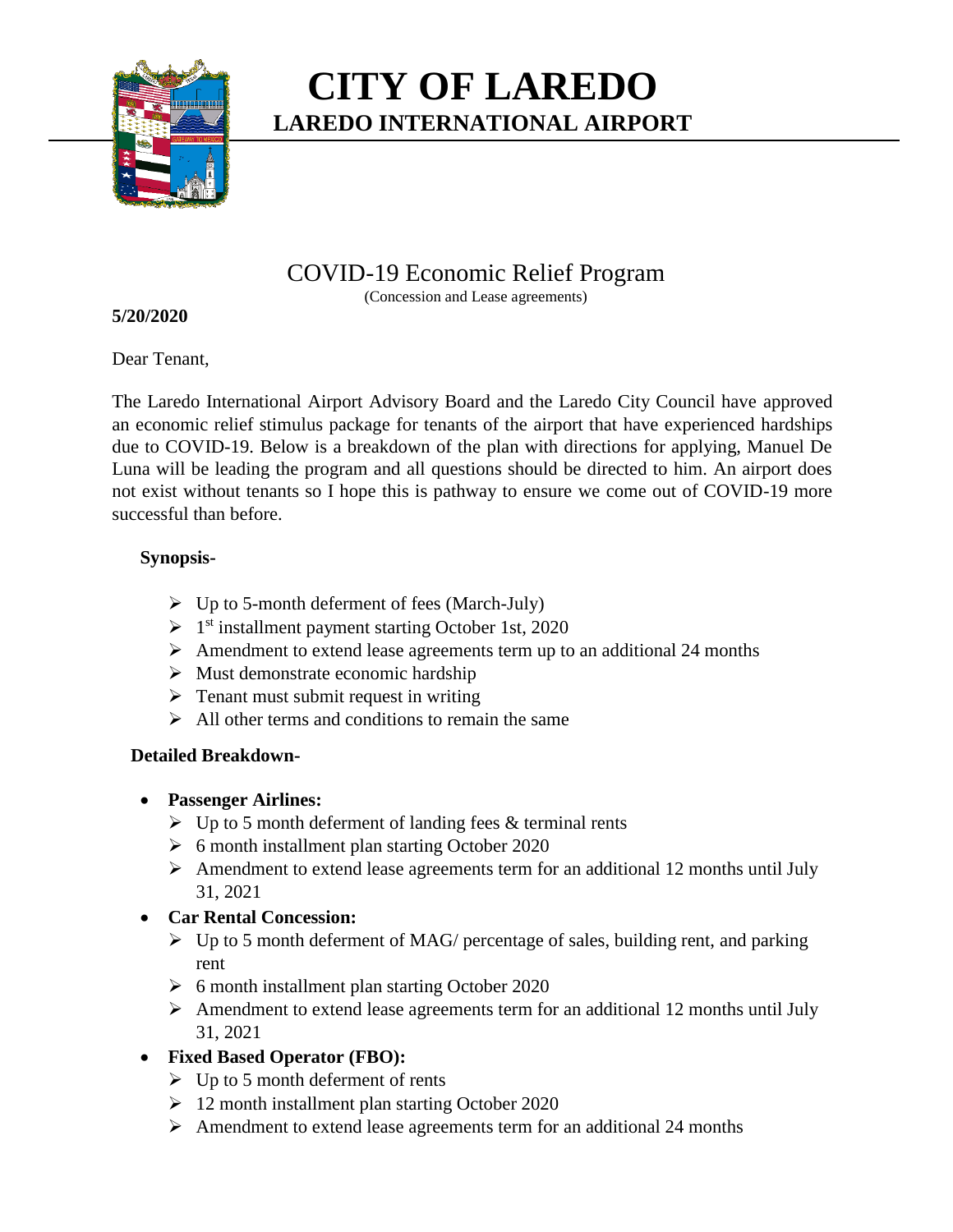

# **CITY OF LAREDO LAREDO INTERNATIONAL AIRPORT**

# COVID-19 Economic Relief Program

(Concession and Lease agreements)

#### **5/20/2020**

Dear Tenant,

The Laredo International Airport Advisory Board and the Laredo City Council have approved an economic relief stimulus package for tenants of the airport that have experienced hardships due to COVID-19. Below is a breakdown of the plan with directions for applying, Manuel De Luna will be leading the program and all questions should be directed to him. An airport does not exist without tenants so I hope this is pathway to ensure we come out of COVID-19 more successful than before.

# **Synopsis-**

- $\triangleright$  Up to 5-month deferment of fees (March-July)
- > 1<sup>st</sup> installment payment starting October 1st, 2020
- $\triangleright$  Amendment to extend lease agreements term up to an additional 24 months
- $\triangleright$  Must demonstrate economic hardship
- $\triangleright$  Tenant must submit request in writing
- $\triangleright$  All other terms and conditions to remain the same

# **Detailed Breakdown-**

- **Passenger Airlines:**
	- $\triangleright$  Up to 5 month deferment of landing fees & terminal rents
	- $\geq 6$  month installment plan starting October 2020
	- $\triangleright$  Amendment to extend lease agreements term for an additional 12 months until July 31, 2021

# **Car Rental Concession:**

- $\triangleright$  Up to 5 month deferment of MAG/ percentage of sales, building rent, and parking rent
- $\geq 6$  month installment plan starting October 2020
- $\triangleright$  Amendment to extend lease agreements term for an additional 12 months until July 31, 2021

# **Fixed Based Operator (FBO):**

- $\triangleright$  Up to 5 month deferment of rents
- 12 month installment plan starting October 2020
- $\triangleright$  Amendment to extend lease agreements term for an additional 24 months